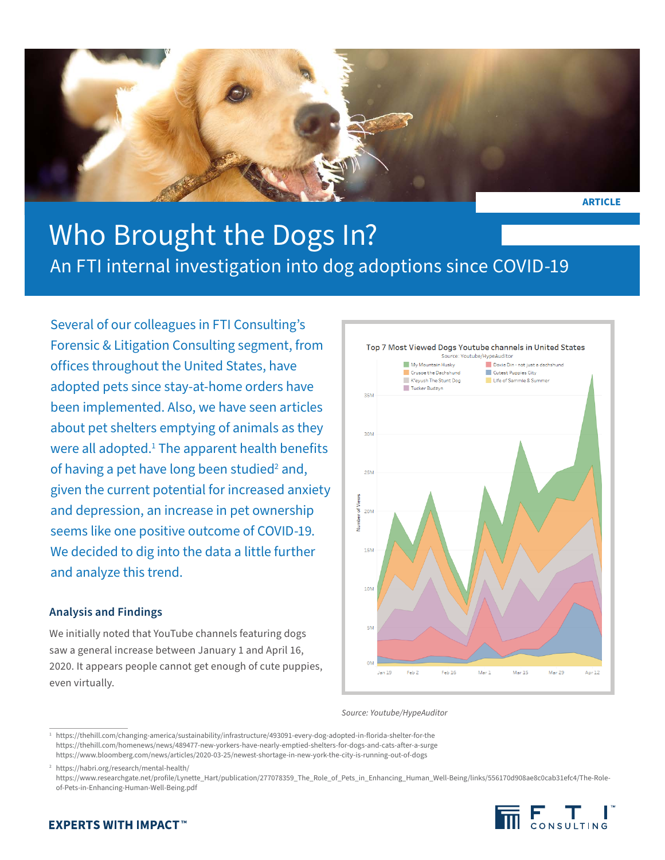

**ARTICLE**

# Who Brought the Dogs In? An FTI internal investigation into dog adoptions since COVID-19

Several of our colleagues in FTI Consulting's Forensic & Litigation Consulting segment, from offices throughout the United States, have adopted pets since stay-at-home orders have been implemented. Also, we have seen articles about pet shelters emptying of animals as they were all adopted.<sup>1</sup> The apparent health benefits of having a pet have long been studied<sup>2</sup> and, given the current potential for increased anxiety and depression, an increase in pet ownership seems like one positive outcome of COVID-19. We decided to dig into the data a little further and analyze this trend.

## **Analysis and Findings**

We initially noted that YouTube channels featuring dogs saw a general increase between January 1 and April 16, 2020. It appears people cannot get enough of cute puppies, even virtually.



*Source: Youtube/HypeAuditor*

<sup>2</sup> https://habri.org/research/mental-health/

https://www.researchgate.net/profile/Lynette\_Hart/publication/277078359\_The\_Role\_of\_Pets\_in\_Enhancing\_Human\_Well-Being/links/556170d908ae8c0cab31efc4/The-Roleof-Pets-in-Enhancing-Human-Well-Being.pdf



## **EXPERTS WITH IMPACT™**

<sup>1</sup> https://thehill.com/changing-america/sustainability/infrastructure/493091-every-dog-adopted-in-florida-shelter-for-the https://thehill.com/homenews/news/489477-new-yorkers-have-nearly-emptied-shelters-for-dogs-and-cats-after-a-surge https://www.bloomberg.com/news/articles/2020-03-25/newest-shortage-in-new-york-the-city-is-running-out-of-dogs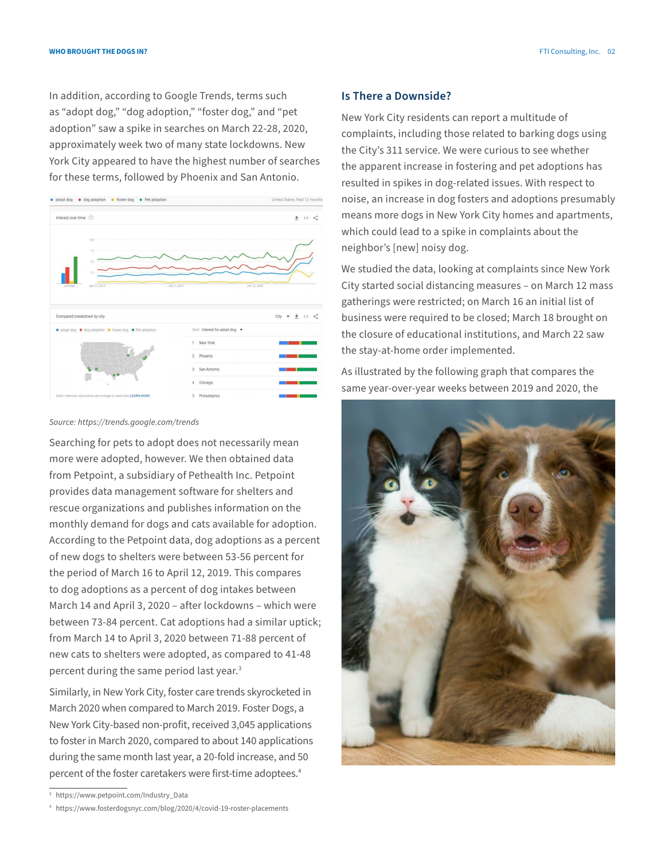In addition, according to Google Trends, terms such as "adopt dog," "dog adoption," "foster dog," and "pet adoption" saw a spike in searches on March 22-28, 2020, approximately week two of many state lockdowns. New York City appeared to have the highest number of searches for these terms, followed by Phoenix and San Antonio.



#### *Source: https://trends.google.com/trends*

Searching for pets to adopt does not necessarily mean more were adopted, however. We then obtained data from Petpoint, a subsidiary of Pethealth Inc. Petpoint provides data management software for shelters and rescue organizations and publishes information on the monthly demand for dogs and cats available for adoption. According to the Petpoint data, dog adoptions as a percent of new dogs to shelters were between 53-56 percent for the period of March 16 to April 12, 2019. This compares to dog adoptions as a percent of dog intakes between March 14 and April 3, 2020 – after lockdowns – which were between 73-84 percent. Cat adoptions had a similar uptick; from March 14 to April 3, 2020 between 71-88 percent of new cats to shelters were adopted, as compared to 41-48 percent during the same period last year.<sup>3</sup>

Similarly, in New York City, foster care trends skyrocketed in March 2020 when compared to March 2019. Foster Dogs, a New York City-based non-profit, received 3,045 applications to foster in March 2020, compared to about 140 applications during the same month last year, a 20-fold increase, and 50 percent of the foster caretakers were first-time adoptees.4

#### **Is There a Downside?**

New York City residents can report a multitude of complaints, including those related to barking dogs using the City's 311 service. We were curious to see whether the apparent increase in fostering and pet adoptions has resulted in spikes in dog-related issues. With respect to noise, an increase in dog fosters and adoptions presumably means more dogs in New York City homes and apartments, which could lead to a spike in complaints about the neighbor's [new] noisy dog.

We studied the data, looking at complaints since New York City started social distancing measures – on March 12 mass gatherings were restricted; on March 16 an initial list of business were required to be closed; March 18 brought on the closure of educational institutions, and March 22 saw the stay-at-home order implemented.

As illustrated by the following graph that compares the same year-over-year weeks between 2019 and 2020, the



<sup>3</sup> https://www.petpoint.com/Industry\_Data

<sup>4</sup> https://www.fosterdogsnyc.com/blog/2020/4/covid-19-roster-placements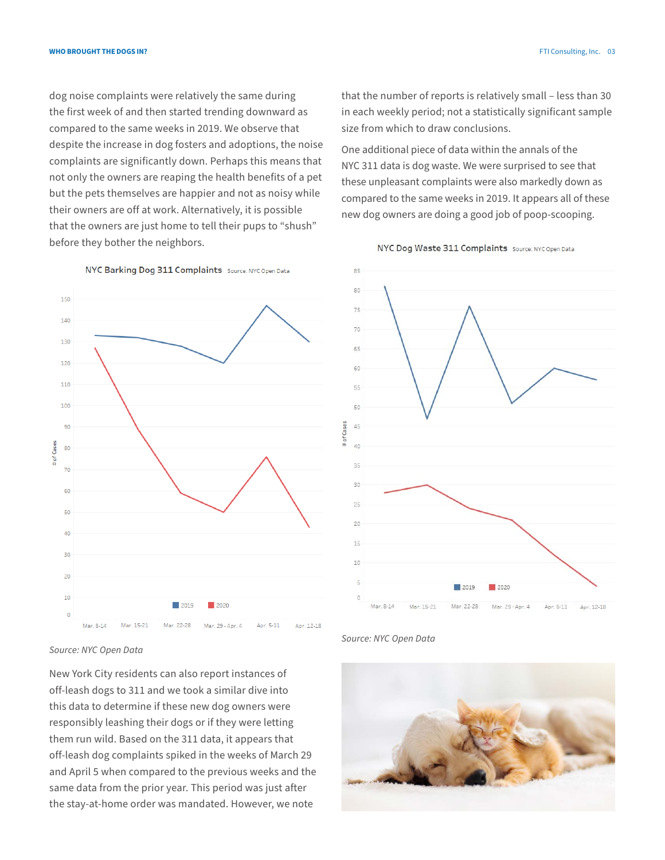**Who Brought the Dogs In?** FTI Consulting, Inc. 03

dog noise complaints were relatively the same during the first week of and then started trending downward as compared to the same weeks in 2019. We observe that despite the increase in dog fosters and adoptions, the noise complaints are significantly down. Perhaps this means that not only the owners are reaping the health benefits of a pet but the pets themselves are happier and not as noisy while their owners are off at work. Alternatively, it is possible that the owners are just home to tell their pups to "shush" before they bother the neighbors.

that the number of reports is relatively small – less than 30 in each weekly period; not a statistically significant sample size from which to draw conclusions.

One additional piece of data within the annals of the NYC 311 data is dog waste. We were surprised to see that these unpleasant complaints were also markedly down as compared to the same weeks in 2019. It appears all of these new dog owners are doing a good job of poop-scooping.





NYC Barking Dog 311 Complaints Source: NYC Open Data

*Source: NYC Open Data*

New York City residents can also report instances of off-leash dogs to 311 and we took a similar dive into this data to determine if these new dog owners were responsibly leashing their dogs or if they were letting them run wild. Based on the 311 data, it appears that off-leash dog complaints spiked in the weeks of March 29 and April 5 when compared to the previous weeks and the same data from the prior year. This period was just after the stay-at-home order was mandated. However, we note



*Source: NYC Open Data*